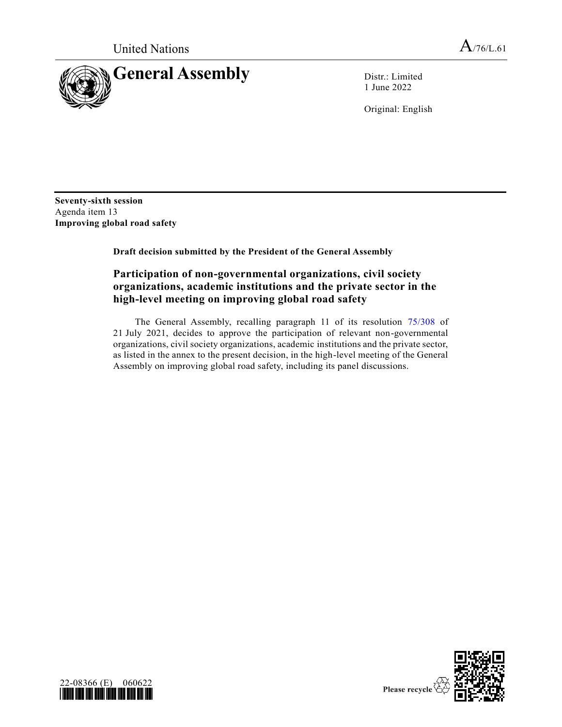

1 June 2022

Original: English

**Seventy-sixth session** Agenda item 13 **Improving global road safety**

**Draft decision submitted by the President of the General Assembly**

## **Participation of non-governmental organizations, civil society organizations, academic institutions and the private sector in the high-level meeting on improving global road safety**

The General Assembly, recalling paragraph 11 of its resolution [75/308](https://undocs.org/en/A/RES/75/308) of 21 July 2021, decides to approve the participation of relevant non-governmental organizations, civil society organizations, academic institutions and the private sector, as listed in the annex to the present decision, in the high-level meeting of the General Assembly on improving global road safety, including its panel discussions.



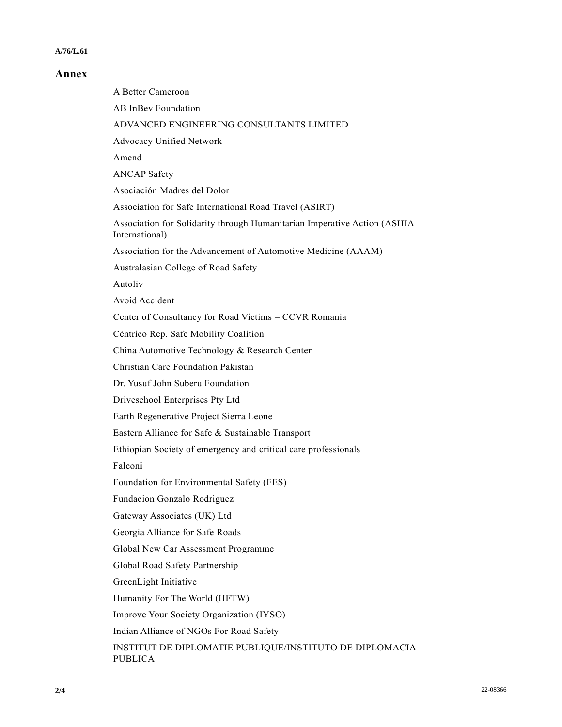## **Annex**

A Better Cameroon AB InBev Foundation ADVANCED ENGINEERING CONSULTANTS LIMITED Advocacy Unified Network Amend ANCAP Safety Asociación Madres del Dolor Association for Safe International Road Travel (ASIRT) Association for Solidarity through Humanitarian Imperative Action (ASHIA International) Association for the Advancement of Automotive Medicine (AAAM) Australasian College of Road Safety Autoliv Avoid Accident Center of Consultancy for Road Victims – CCVR Romania Céntrico Rep. Safe Mobility Coalition China Automotive Technology & Research Center Christian Care Foundation Pakistan Dr. Yusuf John Suberu Foundation Driveschool Enterprises Pty Ltd Earth Regenerative Project Sierra Leone Eastern Alliance for Safe & Sustainable Transport Ethiopian Society of emergency and critical care professionals Falconi Foundation for Environmental Safety (FES) Fundacion Gonzalo Rodriguez Gateway Associates (UK) Ltd Georgia Alliance for Safe Roads Global New Car Assessment Programme Global Road Safety Partnership GreenLight Initiative Humanity For The World (HFTW) Improve Your Society Organization (IYSO) Indian Alliance of NGOs For Road Safety INSTITUT DE DIPLOMATIE PUBLIQUE/INSTITUTO DE DIPLOMACIA PUBLICA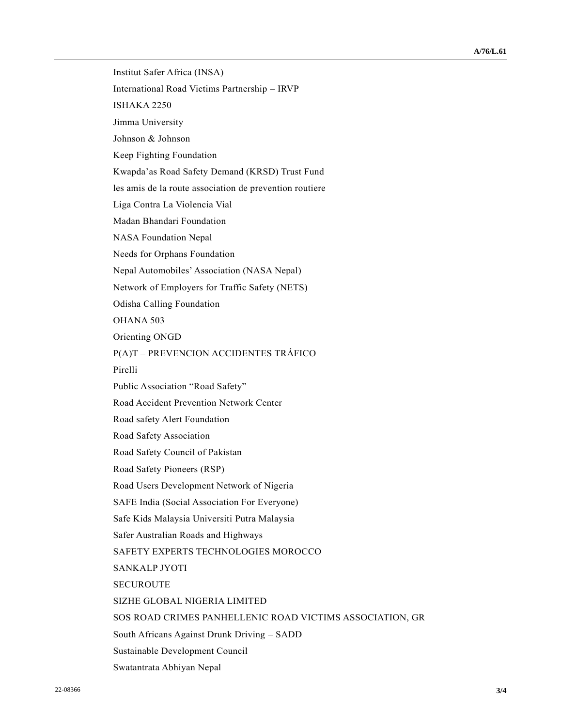Institut Safer Africa (INSA) International Road Victims Partnership – IRVP ISHAKA 2250 Jimma University Johnson & Johnson Keep Fighting Foundation Kwapda'as Road Safety Demand (KRSD) Trust Fund les amis de la route association de prevention routiere Liga Contra La Violencia Vial Madan Bhandari Foundation NASA Foundation Nepal Needs for Orphans Foundation Nepal Automobiles' Association (NASA Nepal) Network of Employers for Traffic Safety (NETS) Odisha Calling Foundation OHANA 503 Orienting ONGD P(A)T – PREVENCION ACCIDENTES TRÁFICO Pirelli Public Association "Road Safety" Road Accident Prevention Network Center Road safety Alert Foundation Road Safety Association Road Safety Council of Pakistan Road Safety Pioneers (RSP) Road Users Development Network of Nigeria SAFE India (Social Association For Everyone) Safe Kids Malaysia Universiti Putra Malaysia Safer Australian Roads and Highways SAFETY EXPERTS TECHNOLOGIES MOROCCO SANKALP JYOTI SECUROUTE SIZHE GLOBAL NIGERIA LIMITED SOS ROAD CRIMES PANHELLENIC ROAD VICTIMS ASSOCIATION, GR South Africans Against Drunk Driving – SADD Sustainable Development Council Swatantrata Abhiyan Nepal